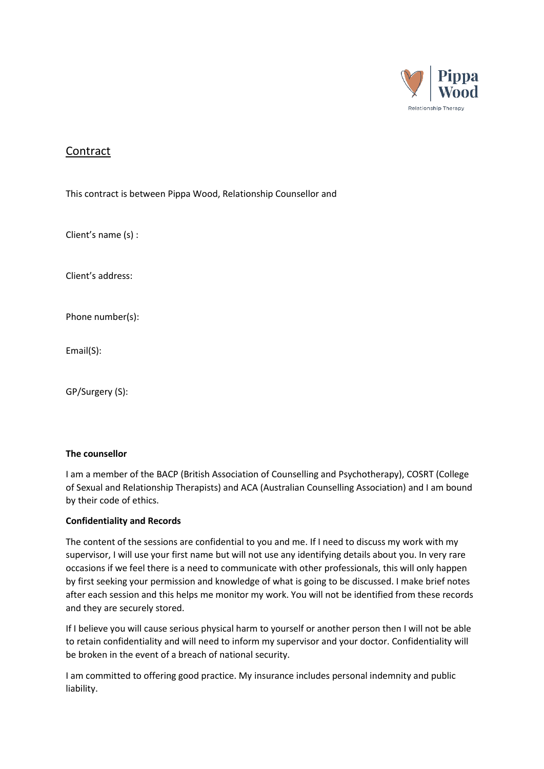

# Contract

This contract is between Pippa Wood, Relationship Counsellor and

Client's name (s) :

Client's address:

Phone number(s):

Email(S):

GP/Surgery (S):

## **The counsellor**

I am a member of the BACP (British Association of Counselling and Psychotherapy), COSRT (College of Sexual and Relationship Therapists) and ACA (Australian Counselling Association) and I am bound by their code of ethics.

## **Confidentiality and Records**

The content of the sessions are confidential to you and me. If I need to discuss my work with my supervisor, I will use your first name but will not use any identifying details about you. In very rare occasions if we feel there is a need to communicate with other professionals, this will only happen by first seeking your permission and knowledge of what is going to be discussed. I make brief notes after each session and this helps me monitor my work. You will not be identified from these records and they are securely stored.

If I believe you will cause serious physical harm to yourself or another person then I will not be able to retain confidentiality and will need to inform my supervisor and your doctor. Confidentiality will be broken in the event of a breach of national security.

I am committed to offering good practice. My insurance includes personal indemnity and public liability.